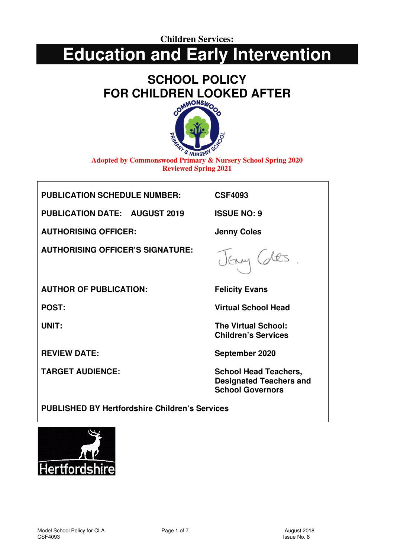**Children Services:** 

## **Education and Early Intervention**

# **SCHOOL POLICY FOR CHILDREN LOOKED AFTER**



**Adopted by Commonswood Primary & Nursery School Spring 2020 Reviewed Spring 2021**

**PUBLICATION SCHEDULE NUMBER: CSF4093** 

**PUBLICATION DATE: AUGUST 2019 ISSUE NO: 9** 

**AUTHORISING OFFICER: Jenny Coles** 

**AUTHORISING OFFICER'S SIGNATURE:** 

 $m(2)$ 

**AUTHOR OF PUBLICATION: Felicity Evans** 

**POST: Virtual School Head** 

**UNIT:** The Virtual School: **Children's Services** 

**REVIEW DATE:** September 2020

TARGET AUDIENCE: School Head Teachers, **Designated Teachers and School Governors** 

**PUBLISHED BY Hertfordshire Children's Services** 

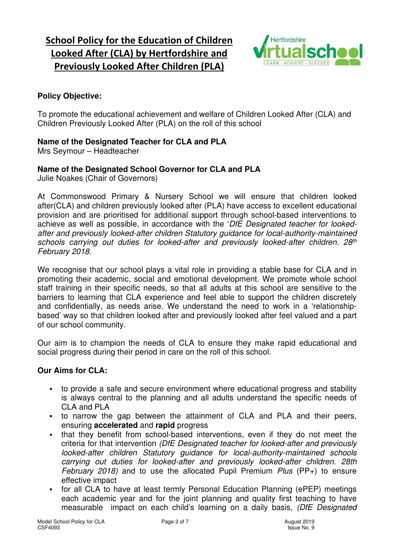### **School Policy for the Education of Children Looked After (CLA) by Hertfordshire and Previously Looked After Children (PLA)**



#### **Policy Objective:**

To promote the educational achievement and welfare of Children Looked After (CLA) and Children Previously Looked After (PLA) on the roll of this school

#### **Name of the Designated Teacher for CLA and PLA**

Mrs Seymour – Headteacher

#### **Name of the Designated School Governor for CLA and PLA**

Julie Noakes (Chair of Governors)

At Commonswood Primary & Nursery School we will ensure that children looked after(CLA) and children previously looked after (PLA) have access to excellent educational provision and are prioritised for additional support through school-based interventions to achieve as well as possible, in accordance with the '*DfE Designated teacher for lookedafter and previously looked-after children Statutory guidance for local-authority-maintained schools carrying out duties for looked-after and previously looked-after children. 28th February 2018.* 

We recognise that our school plays a vital role in providing a stable base for CLA and in promoting their academic, social and emotional development. We promote whole school staff training in their specific needs, so that all adults at this school are sensitive to the barriers to learning that CLA experience and feel able to support the children discretely and confidentially, as needs arise. We understand the need to work in a 'relationshipbased' way so that children looked after and previously looked after feel valued and a part of our school community.

Our aim is to champion the needs of CLA to ensure they make rapid educational and social progress during their period in care on the roll of this school.

#### **Our Aims for CLA:**

- to provide a safe and secure environment where educational progress and stability is always central to the planning and all adults understand the specific needs of CLA and PLA
- to narrow the gap between the attainment of CLA and PLA and their peers, ensuring **accelerated** and **rapid** progress
- that they benefit from school-based interventions, even if they do not meet the criteria for that intervention *(DfE Designated teacher for looked-after and previously looked-after children Statutory guidance for local-authority-maintained schools carrying out duties for looked-after and previously looked-after children. 28th February 2018)* and to use the allocated Pupil Premium *Plus* (PP+) to ensure effective impact
- for all CLA to have at least termly Personal Education Planning (ePEP) meetings each academic year and for the joint planning and quality first teaching to have measurable impact on each child's learning on a daily basis, *(DfE Designated*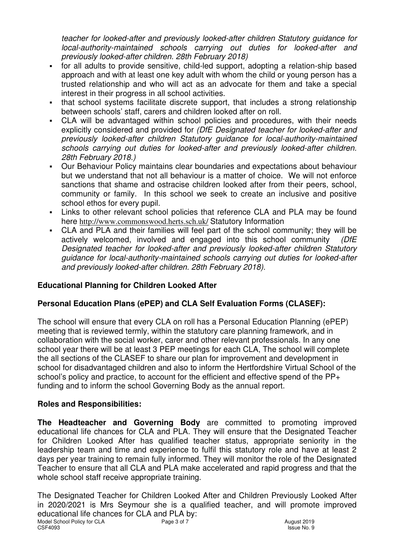*teacher for looked-after and previously looked-after children Statutory guidance for local-authority-maintained schools carrying out duties for looked-after and previously looked-after children. 28th February 2018)* 

- for all adults to provide sensitive, child-led support, adopting a relation-ship based approach and with at least one key adult with whom the child or young person has a trusted relationship and who will act as an advocate for them and take a special interest in their progress in all school activities.
- that school systems facilitate discrete support, that includes a strong relationship between schools' staff, carers and children looked after on roll.
- CLA will be advantaged within school policies and procedures, with their needs explicitly considered and provided for *(DfE Designated teacher for looked-after and previously looked-after children Statutory guidance for local-authority-maintained schools carrying out duties for looked-after and previously looked-after children. 28th February 2018.)*
- Our Behaviour Policy maintains clear boundaries and expectations about behaviour but we understand that not all behaviour is a matter of choice. We will not enforce sanctions that shame and ostracise children looked after from their peers, school, community or family. In this school we seek to create an inclusive and positive school ethos for every pupil.
- Links to other relevant school policies that reference CLA and PLA may be found here http://www.commonswood.herts.sch.uk/ Statutory Information
- CLA and PLA and their families will feel part of the school community; they will be actively welcomed, involved and engaged into this school community *(DfE Designated teacher for looked-after and previously looked-after children Statutory guidance for local-authority-maintained schools carrying out duties for looked-after and previously looked-after children. 28th February 2018).*

#### **Educational Planning for Children Looked After**

#### **Personal Education Plans (ePEP) and CLA Self Evaluation Forms (CLASEF):**

The school will ensure that every CLA on roll has a Personal Education Planning (ePEP) meeting that is reviewed termly, within the statutory care planning framework, and in collaboration with the social worker, carer and other relevant professionals. In any one school year there will be at least 3 PEP meetings for each CLA, The school will complete the all sections of the CLASEF to share our plan for improvement and development in school for disadvantaged children and also to inform the Hertfordshire Virtual School of the school's policy and practice, to account for the efficient and effective spend of the PP+ funding and to inform the school Governing Body as the annual report.

#### **Roles and Responsibilities:**

**The Headteacher and Governing Body** are committed to promoting improved educational life chances for CLA and PLA. They will ensure that the Designated Teacher for Children Looked After has qualified teacher status, appropriate seniority in the leadership team and time and experience to fulfil this statutory role and have at least 2 days per year training to remain fully informed. They will monitor the role of the Designated Teacher to ensure that all CLA and PLA make accelerated and rapid progress and that the whole school staff receive appropriate training.

Model School Policy for CLA **Page 3 of 7** August 2019 CSF4093 Issue No. 9 The Designated Teacher for Children Looked After and Children Previously Looked After in 2020/2021 is Mrs Seymour she is a qualified teacher, and will promote improved educational life chances for CLA and PLA by: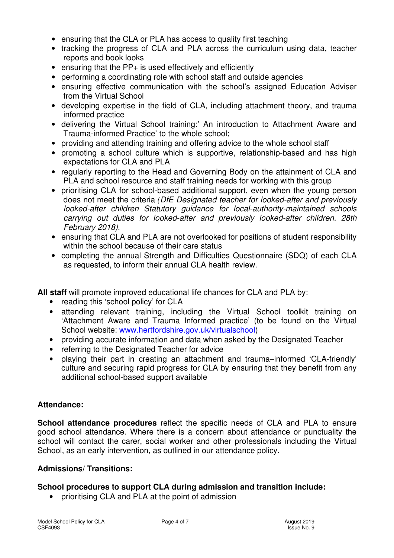- ensuring that the CLA or PLA has access to quality first teaching
- tracking the progress of CLA and PLA across the curriculum using data, teacher reports and book looks
- ensuring that the  $PP+$  is used effectively and efficiently
- performing a coordinating role with school staff and outside agencies
- ensuring effective communication with the school's assigned Education Adviser from the Virtual School
- developing expertise in the field of CLA, including attachment theory, and trauma informed practice
- delivering the Virtual School training:' An introduction to Attachment Aware and Trauma-informed Practice' to the whole school;
- providing and attending training and offering advice to the whole school staff
- promoting a school culture which is supportive, relationship-based and has high expectations for CLA and PLA
- regularly reporting to the Head and Governing Body on the attainment of CLA and PLA and school resource and staff training needs for working with this group
- prioritising CLA for school-based additional support, even when the young person does not meet the criteria *(DfE Designated teacher for looked-after and previously looked-after children Statutory guidance for local-authority-maintained schools carrying out duties for looked-after and previously looked-after children. 28th February 2018).*
- ensuring that CLA and PLA are not overlooked for positions of student responsibility within the school because of their care status
- completing the annual Strength and Difficulties Questionnaire (SDQ) of each CLA as requested, to inform their annual CLA health review.

**All staff** will promote improved educational life chances for CLA and PLA by:

- reading this 'school policy' for CLA
- attending relevant training, including the Virtual School toolkit training on 'Attachment Aware and Trauma Informed practice' (to be found on the Virtual School website: www.hertfordshire.gov.uk/virtualschool)
- providing accurate information and data when asked by the Designated Teacher
- referring to the Designated Teacher for advice
- playing their part in creating an attachment and trauma–informed 'CLA-friendly' culture and securing rapid progress for CLA by ensuring that they benefit from any additional school-based support available

#### **Attendance:**

**School attendance procedures** reflect the specific needs of CLA and PLA to ensure good school attendance. Where there is a concern about attendance or punctuality the school will contact the carer, social worker and other professionals including the Virtual School, as an early intervention, as outlined in our attendance policy.

#### **Admissions/ Transitions:**

#### **School procedures to support CLA during admission and transition include:**

• prioritising CLA and PLA at the point of admission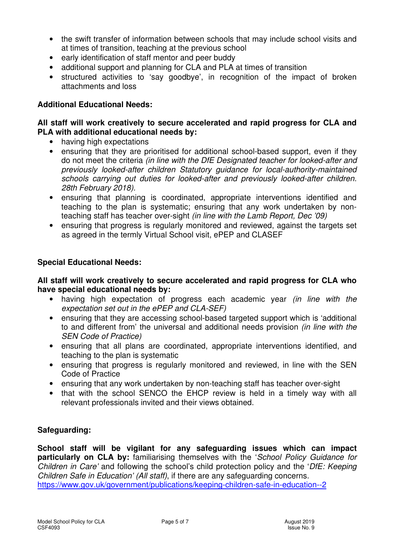- the swift transfer of information between schools that may include school visits and at times of transition, teaching at the previous school
- early identification of staff mentor and peer buddy
- additional support and planning for CLA and PLA at times of transition
- structured activities to 'say goodbye', in recognition of the impact of broken attachments and loss

#### **Additional Educational Needs:**

#### **All staff will work creatively to secure accelerated and rapid progress for CLA and PLA with additional educational needs by:**

- having high expectations
- ensuring that they are prioritised for additional school-based support, even if they do not meet the criteria *(in line with the DfE Designated teacher for looked-after and previously looked-after children Statutory guidance for local-authority-maintained schools carrying out duties for looked-after and previously looked-after children. 28th February 2018).*
- ensuring that planning is coordinated, appropriate interventions identified and teaching to the plan is systematic; ensuring that any work undertaken by nonteaching staff has teacher over-sight *(in line with the Lamb Report, Dec '09)*
- ensuring that progress is regularly monitored and reviewed, against the targets set as agreed in the termly Virtual School visit, ePEP and CLASEF

#### **Special Educational Needs:**

#### **All staff will work creatively to secure accelerated and rapid progress for CLA who have special educational needs by:**

- having high expectation of progress each academic year *(in line with the expectation set out in the ePEP and CLA-SEF)*
- ensuring that they are accessing school-based targeted support which is 'additional to and different from' the universal and additional needs provision *(in line with the SEN Code of Practice)*
- ensuring that all plans are coordinated, appropriate interventions identified, and teaching to the plan is systematic
- ensuring that progress is regularly monitored and reviewed, in line with the SEN Code of Practice
- ensuring that any work undertaken by non-teaching staff has teacher over-sight
- that with the school SENCO the EHCP review is held in a timely way with all relevant professionals invited and their views obtained.

#### **Safeguarding:**

**School staff will be vigilant for any safeguarding issues which can impact particularly on CLA by:** familiarising themselves with the '*School Policy Guidance for Children in Care'* and following the school's child protection policy and the '*DfE: Keeping Children Safe in Education' (All staff)*, if there are any safeguarding concerns. https://www.gov.uk/government/publications/keeping-children-safe-in-education--2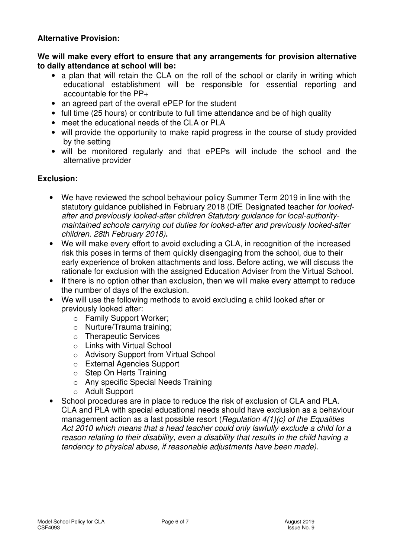#### **Alternative Provision:**

**We will make every effort to ensure that any arrangements for provision alternative to daily attendance at school will be:** 

- a plan that will retain the CLA on the roll of the school or clarify in writing which educational establishment will be responsible for essential reporting and accountable for the PP+
- an agreed part of the overall ePEP for the student
- full time (25 hours) or contribute to full time attendance and be of high quality
- meet the educational needs of the CLA or PLA
- will provide the opportunity to make rapid progress in the course of study provided by the setting
- will be monitored regularly and that ePEPs will include the school and the alternative provider

#### **Exclusion:**

- We have reviewed the school behaviour policy Summer Term 2019 in line with the statutory guidance published in February 2018 (DfE Designated teacher *for lookedafter and previously looked-after children Statutory guidance for local-authoritymaintained schools carrying out duties for looked-after and previously looked-after children. 28th February 2018)***.**
- We will make every effort to avoid excluding a CLA, in recognition of the increased risk this poses in terms of them quickly disengaging from the school, due to their early experience of broken attachments and loss. Before acting, we will discuss the rationale for exclusion with the assigned Education Adviser from the Virtual School.
- If there is no option other than exclusion, then we will make every attempt to reduce the number of days of the exclusion.
- We will use the following methods to avoid excluding a child looked after or previously looked after:
	- o Family Support Worker;
	- o Nurture/Trauma training;
	- o Therapeutic Services
	- o Links with Virtual School
	- o Advisory Support from Virtual School
	- o External Agencies Support
	- o Step On Herts Training
	- o Any specific Special Needs Training
	- o Adult Support
- School procedures are in place to reduce the risk of exclusion of CLA and PLA. CLA and PLA with special educational needs should have exclusion as a behaviour management action as a last possible resort (*Regulation 4(1)(c) of the Equalities Act 2010 which means that a head teacher could only lawfully exclude a child for a reason relating to their disability, even a disability that results in the child having a tendency to physical abuse, if reasonable adjustments have been made)*.